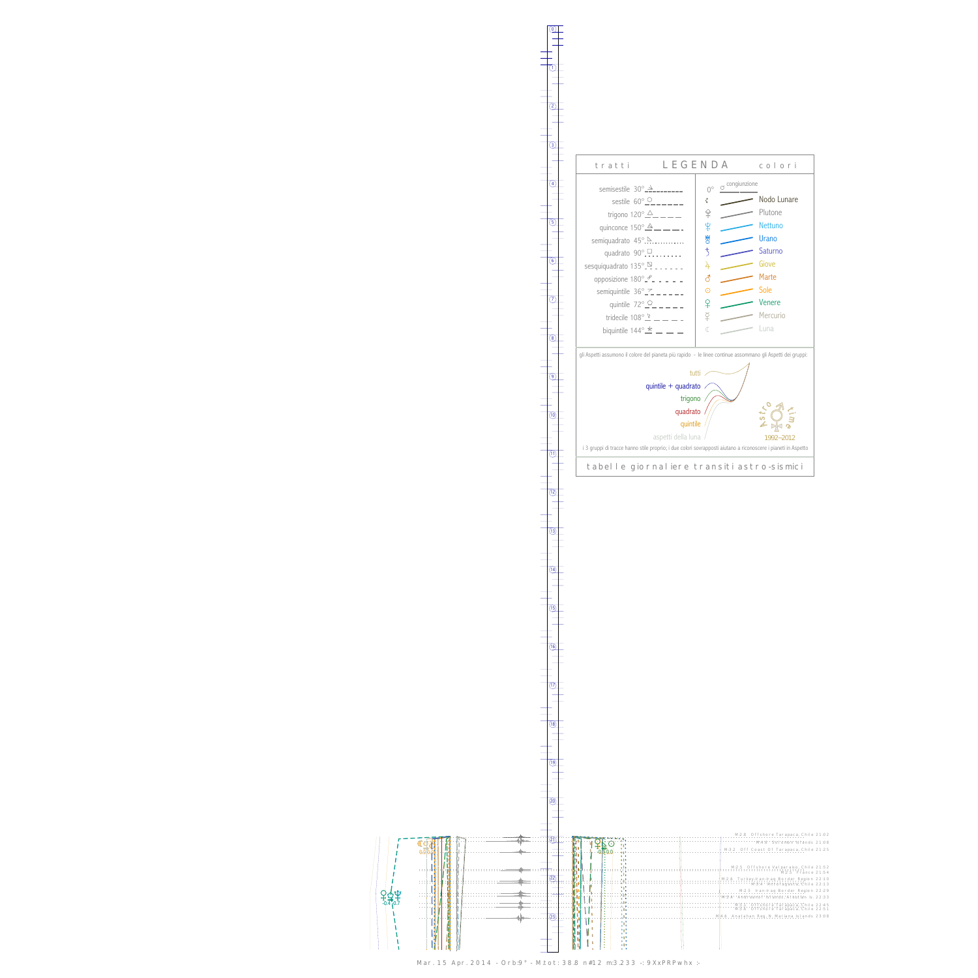